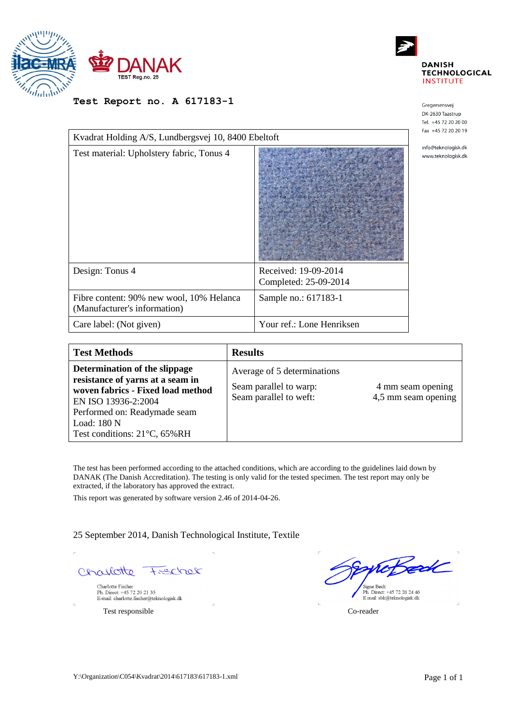



Gregersensvej DK-2630 Taastrup Tel. +45 72 20 20 00 Fax +45 72 20 20 19 info@teknologisk.dk www.teknologisk.dk

**Test Report no. A 617183-1**

| Kvadrat Holding A/S, Lundbergsvej 10, 8400 Ebeltoft                      |                                               |  |
|--------------------------------------------------------------------------|-----------------------------------------------|--|
| Test material: Upholstery fabric, Tonus 4                                |                                               |  |
| Design: Tonus 4                                                          | Received: 19-09-2014<br>Completed: 25-09-2014 |  |
| Fibre content: 90% new wool, 10% Helanca<br>(Manufacturer's information) | Sample no.: 617183-1                          |  |
| Care label: (Not given)                                                  | Your ref.: Lone Henriksen                     |  |

| <b>Test Methods</b>                                                                                                                                                                                          | <b>Results</b>                                                                  |                                          |
|--------------------------------------------------------------------------------------------------------------------------------------------------------------------------------------------------------------|---------------------------------------------------------------------------------|------------------------------------------|
| Determination of the slippage<br>resistance of yarns at a seam in<br>woven fabrics - Fixed load method<br>EN ISO 13936-2:2004<br>Performed on: Readymade seam<br>Load: 180 N<br>Test conditions: 21°C, 65%RH | Average of 5 determinations<br>Seam parallel to warp:<br>Seam parallel to weft: | 4 mm seam opening<br>4,5 mm seam opening |

The test has been performed according to the attached conditions, which are according to the guidelines laid down by DANAK (The Danish Accreditation). The testing is only valid for the tested specimen. The test report may only be extracted, if the laboratory has approved the extract.

This report was generated by software version 2.46 of 2014-04-26.

25 September 2014, Danish Technological Institute, Textile

Charlotte  $4,20727+$ 

Charlotte Fischer<br>Ph. Direct: +45 72 20 21 35<br>E-mail: charlotte.fischer@teknologisk.dk

Test responsible Co-reader

reBede Signe Beck Signe Beck<br>Ph. Direct: +45 72 20 24 46<br>E.mail: sbk@teknologisk.dk